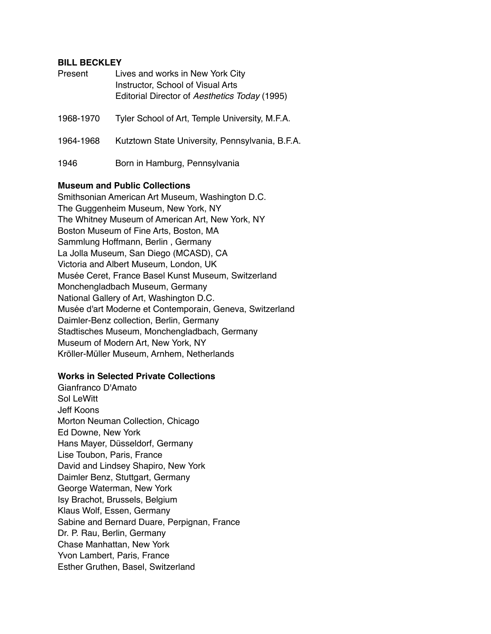#### **BILL BECKLEY**

| Present   | Lives and works in New York City<br>Instructor, School of Visual Arts<br>Editorial Director of Aesthetics Today (1995) |
|-----------|------------------------------------------------------------------------------------------------------------------------|
| 1968-1970 | Tyler School of Art, Temple University, M.F.A.                                                                         |
| 1964-1968 | Kutztown State University, Pennsylvania, B.F.A.                                                                        |
| 1946      | Born in Hamburg, Pennsylvania                                                                                          |

### **Museum and Public Collections**

Smithsonian American Art Museum, Washington D.C. The Guggenheim Museum, New York, NY The Whitney Museum of American Art, New York, NY Boston Museum of Fine Arts, Boston, MA Sammlung Hoffmann, Berlin , Germany La Jolla Museum, San Diego (MCASD), CA Victoria and Albert Museum, London, UK Musée Ceret, France Basel Kunst Museum, Switzerland Monchengladbach Museum, Germany National Gallery of Art, Washington D.C. Musée d'art Moderne et Contemporain, Geneva, Switzerland Daimler-Benz collection, Berlin, Germany Stadtisches Museum, Monchengladbach, Germany Museum of Modern Art, New York, NY Kröller-Müller Museum, Arnhem, Netherlands

#### **Works in Selected Private Collections**

Gianfranco D'Amato Sol LeWitt Jeff Koons Morton Neuman Collection, Chicago Ed Downe, New York Hans Mayer, Düsseldorf, Germany Lise Toubon, Paris, France David and Lindsey Shapiro, New York Daimler Benz, Stuttgart, Germany George Waterman, New York Isy Brachot, Brussels, Belgium Klaus Wolf, Essen, Germany Sabine and Bernard Duare, Perpignan, France Dr. P. Rau, Berlin, Germany Chase Manhattan, New York Yvon Lambert, Paris, France Esther Gruthen, Basel, Switzerland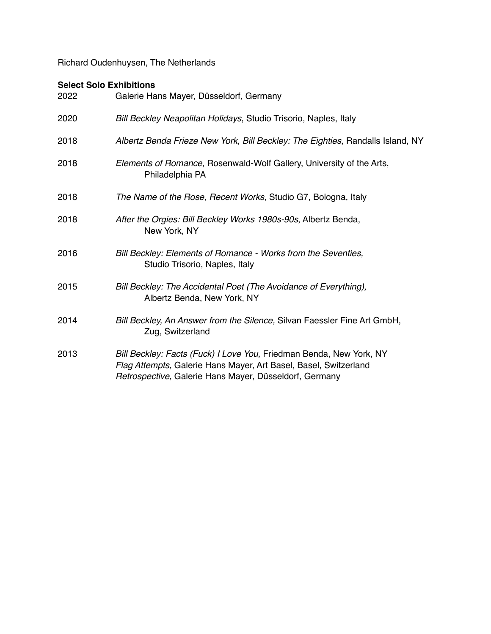Richard Oudenhuysen, The Netherlands

# **Select Solo Exhibitions**

| 2022 | Galerie Hans Mayer, Düsseldorf, Germany                                                                                                                                                           |
|------|---------------------------------------------------------------------------------------------------------------------------------------------------------------------------------------------------|
| 2020 | Bill Beckley Neapolitan Holidays, Studio Trisorio, Naples, Italy                                                                                                                                  |
| 2018 | Albertz Benda Frieze New York, Bill Beckley: The Eighties, Randalls Island, NY                                                                                                                    |
| 2018 | Elements of Romance, Rosenwald-Wolf Gallery, University of the Arts,<br>Philadelphia PA                                                                                                           |
| 2018 | The Name of the Rose, Recent Works, Studio G7, Bologna, Italy                                                                                                                                     |
| 2018 | After the Orgies: Bill Beckley Works 1980s-90s, Albertz Benda,<br>New York, NY                                                                                                                    |
| 2016 | Bill Beckley: Elements of Romance - Works from the Seventies,<br>Studio Trisorio, Naples, Italy                                                                                                   |
| 2015 | Bill Beckley: The Accidental Poet (The Avoidance of Everything),<br>Albertz Benda, New York, NY                                                                                                   |
| 2014 | Bill Beckley, An Answer from the Silence, Silvan Faessler Fine Art GmbH,<br>Zug, Switzerland                                                                                                      |
| 2013 | Bill Beckley: Facts (Fuck) I Love You, Friedman Benda, New York, NY<br>Flag Attempts, Galerie Hans Mayer, Art Basel, Basel, Switzerland<br>Retrospective, Galerie Hans Mayer, Düsseldorf, Germany |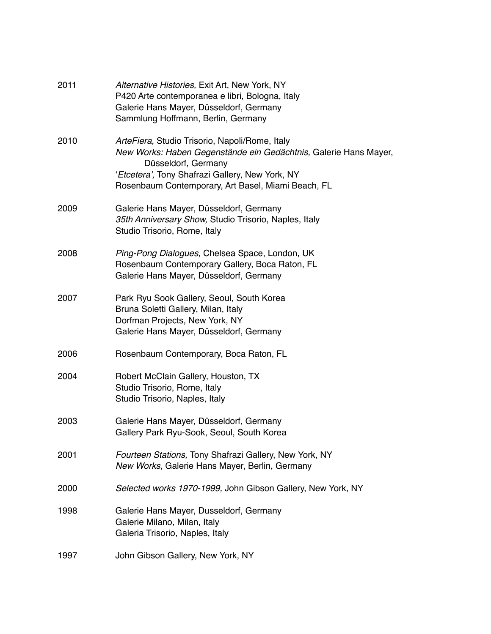| 2011 | Alternative Histories, Exit Art, New York, NY<br>P420 Arte contemporanea e libri, Bologna, Italy<br>Galerie Hans Mayer, Düsseldorf, Germany<br>Sammlung Hoffmann, Berlin, Germany                                                                  |
|------|----------------------------------------------------------------------------------------------------------------------------------------------------------------------------------------------------------------------------------------------------|
| 2010 | ArteFiera, Studio Trisorio, Napoli/Rome, Italy<br>New Works: Haben Gegenstände ein Gedächtnis, Galerie Hans Mayer,<br>Düsseldorf, Germany<br>'Etcetera', Tony Shafrazi Gallery, New York, NY<br>Rosenbaum Contemporary, Art Basel, Miami Beach, FL |
| 2009 | Galerie Hans Mayer, Düsseldorf, Germany<br>35th Anniversary Show, Studio Trisorio, Naples, Italy<br>Studio Trisorio, Rome, Italy                                                                                                                   |
| 2008 | Ping-Pong Dialogues, Chelsea Space, London, UK<br>Rosenbaum Contemporary Gallery, Boca Raton, FL<br>Galerie Hans Mayer, Düsseldorf, Germany                                                                                                        |
| 2007 | Park Ryu Sook Gallery, Seoul, South Korea<br>Bruna Soletti Gallery, Milan, Italy<br>Dorfman Projects, New York, NY<br>Galerie Hans Mayer, Düsseldorf, Germany                                                                                      |
| 2006 | Rosenbaum Contemporary, Boca Raton, FL                                                                                                                                                                                                             |
| 2004 | Robert McClain Gallery, Houston, TX<br>Studio Trisorio, Rome, Italy<br>Studio Trisorio, Naples, Italy                                                                                                                                              |
| 2003 | Galerie Hans Mayer, Düsseldorf, Germany<br>Gallery Park Ryu-Sook, Seoul, South Korea                                                                                                                                                               |
| 2001 | Fourteen Stations, Tony Shafrazi Gallery, New York, NY<br>New Works, Galerie Hans Mayer, Berlin, Germany                                                                                                                                           |
| 2000 | Selected works 1970-1999, John Gibson Gallery, New York, NY                                                                                                                                                                                        |
| 1998 | Galerie Hans Mayer, Dusseldorf, Germany<br>Galerie Milano, Milan, Italy<br>Galeria Trisorio, Naples, Italy                                                                                                                                         |
| 1997 | John Gibson Gallery, New York, NY                                                                                                                                                                                                                  |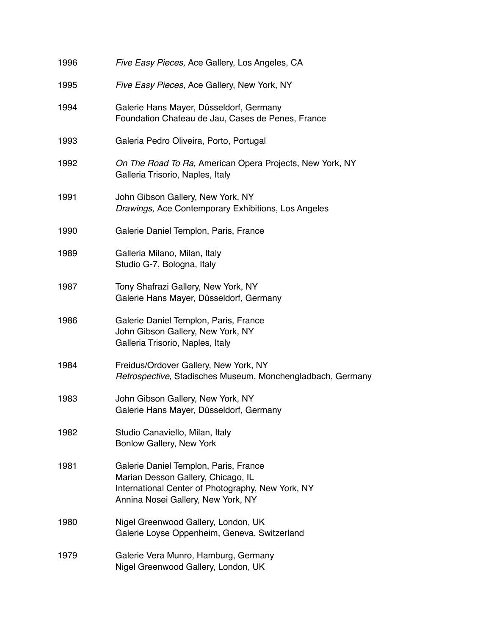| 1996 | Five Easy Pieces, Ace Gallery, Los Angeles, CA                                                                                                                         |
|------|------------------------------------------------------------------------------------------------------------------------------------------------------------------------|
| 1995 | Five Easy Pieces, Ace Gallery, New York, NY                                                                                                                            |
| 1994 | Galerie Hans Mayer, Düsseldorf, Germany<br>Foundation Chateau de Jau, Cases de Penes, France                                                                           |
| 1993 | Galeria Pedro Oliveira, Porto, Portugal                                                                                                                                |
| 1992 | On The Road To Ra, American Opera Projects, New York, NY<br>Galleria Trisorio, Naples, Italy                                                                           |
| 1991 | John Gibson Gallery, New York, NY<br>Drawings, Ace Contemporary Exhibitions, Los Angeles                                                                               |
| 1990 | Galerie Daniel Templon, Paris, France                                                                                                                                  |
| 1989 | Galleria Milano, Milan, Italy<br>Studio G-7, Bologna, Italy                                                                                                            |
| 1987 | Tony Shafrazi Gallery, New York, NY<br>Galerie Hans Mayer, Düsseldorf, Germany                                                                                         |
| 1986 | Galerie Daniel Templon, Paris, France<br>John Gibson Gallery, New York, NY<br>Galleria Trisorio, Naples, Italy                                                         |
| 1984 | Freidus/Ordover Gallery, New York, NY<br>Retrospective, Stadisches Museum, Monchengladbach, Germany                                                                    |
| 1983 | John Gibson Gallery, New York, NY<br>Galerie Hans Mayer, Düsseldorf, Germany                                                                                           |
| 1982 | Studio Canaviello, Milan, Italy<br>Bonlow Gallery, New York                                                                                                            |
| 1981 | Galerie Daniel Templon, Paris, France<br>Marian Desson Gallery, Chicago, IL<br>International Center of Photography, New York, NY<br>Annina Nosei Gallery, New York, NY |
| 1980 | Nigel Greenwood Gallery, London, UK<br>Galerie Loyse Oppenheim, Geneva, Switzerland                                                                                    |
| 1979 | Galerie Vera Munro, Hamburg, Germany<br>Nigel Greenwood Gallery, London, UK                                                                                            |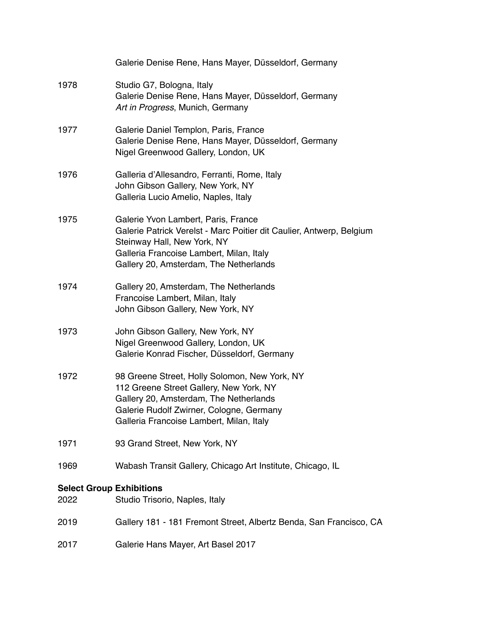|                                         | Galerie Denise Rene, Hans Mayer, Düsseldorf, Germany                                                                                                                                                                             |
|-----------------------------------------|----------------------------------------------------------------------------------------------------------------------------------------------------------------------------------------------------------------------------------|
| 1978                                    | Studio G7, Bologna, Italy<br>Galerie Denise Rene, Hans Mayer, Düsseldorf, Germany<br>Art in Progress, Munich, Germany                                                                                                            |
| 1977                                    | Galerie Daniel Templon, Paris, France<br>Galerie Denise Rene, Hans Mayer, Düsseldorf, Germany<br>Nigel Greenwood Gallery, London, UK                                                                                             |
| 1976                                    | Galleria d'Allesandro, Ferranti, Rome, Italy<br>John Gibson Gallery, New York, NY<br>Galleria Lucio Amelio, Naples, Italy                                                                                                        |
| 1975                                    | Galerie Yvon Lambert, Paris, France<br>Galerie Patrick Verelst - Marc Poitier dit Caulier, Antwerp, Belgium<br>Steinway Hall, New York, NY<br>Galleria Francoise Lambert, Milan, Italy<br>Gallery 20, Amsterdam, The Netherlands |
| 1974                                    | Gallery 20, Amsterdam, The Netherlands<br>Francoise Lambert, Milan, Italy<br>John Gibson Gallery, New York, NY                                                                                                                   |
| 1973                                    | John Gibson Gallery, New York, NY<br>Nigel Greenwood Gallery, London, UK<br>Galerie Konrad Fischer, Düsseldorf, Germany                                                                                                          |
| 1972                                    | 98 Greene Street, Holly Solomon, New York, NY<br>112 Greene Street Gallery, New York, NY<br>Gallery 20, Amsterdam, The Netherlands<br>Galerie Rudolf Zwirner, Cologne, Germany<br>Galleria Francoise Lambert, Milan, Italy       |
| 1971                                    | 93 Grand Street, New York, NY                                                                                                                                                                                                    |
| 1969                                    | Wabash Transit Gallery, Chicago Art Institute, Chicago, IL                                                                                                                                                                       |
| <b>Select Group Exhibitions</b><br>2022 | Studio Trisorio, Naples, Italy                                                                                                                                                                                                   |
| 2019                                    | Gallery 181 - 181 Fremont Street, Albertz Benda, San Francisco, CA                                                                                                                                                               |
| 2017                                    | Galerie Hans Mayer, Art Basel 2017                                                                                                                                                                                               |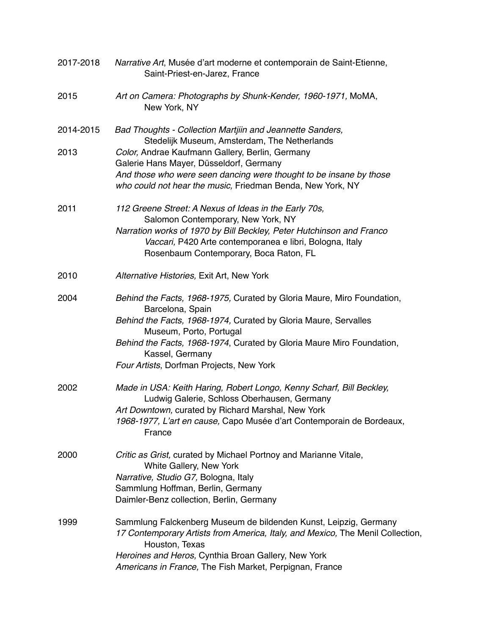| 2017-2018 | Narrative Art, Musée d'art moderne et contemporain de Saint-Etienne,<br>Saint-Priest-en-Jarez, France                                                                                                                                                                                                                            |
|-----------|----------------------------------------------------------------------------------------------------------------------------------------------------------------------------------------------------------------------------------------------------------------------------------------------------------------------------------|
| 2015      | Art on Camera: Photographs by Shunk-Kender, 1960-1971, MoMA,<br>New York, NY                                                                                                                                                                                                                                                     |
| 2014-2015 | Bad Thoughts - Collection Martjiin and Jeannette Sanders,<br>Stedelijk Museum, Amsterdam, The Netherlands                                                                                                                                                                                                                        |
| 2013      | Color, Andrae Kaufmann Gallery, Berlin, Germany<br>Galerie Hans Mayer, Düsseldorf, Germany<br>And those who were seen dancing were thought to be insane by those<br>who could not hear the music, Friedman Benda, New York, NY                                                                                                   |
| 2011      | 112 Greene Street: A Nexus of Ideas in the Early 70s,<br>Salomon Contemporary, New York, NY<br>Narration works of 1970 by Bill Beckley, Peter Hutchinson and Franco<br>Vaccari, P420 Arte contemporanea e libri, Bologna, Italy<br>Rosenbaum Contemporary, Boca Raton, FL                                                        |
| 2010      | Alternative Histories, Exit Art, New York                                                                                                                                                                                                                                                                                        |
| 2004      | Behind the Facts, 1968-1975, Curated by Gloria Maure, Miro Foundation,<br>Barcelona, Spain<br>Behind the Facts, 1968-1974, Curated by Gloria Maure, Servalles<br>Museum, Porto, Portugal<br>Behind the Facts, 1968-1974, Curated by Gloria Maure Miro Foundation,<br>Kassel, Germany<br>Four Artists, Dorfman Projects, New York |
| 2002      | Made in USA: Keith Haring, Robert Longo, Kenny Scharf, Bill Beckley,<br>Ludwig Galerie, Schloss Oberhausen, Germany<br>Art Downtown, curated by Richard Marshal, New York<br>1968-1977, L'art en cause, Capo Musée d'art Contemporain de Bordeaux,<br>France                                                                     |
| 2000      | Critic as Grist, curated by Michael Portnoy and Marianne Vitale,<br>White Gallery, New York<br>Narrative, Studio G7, Bologna, Italy<br>Sammlung Hoffman, Berlin, Germany<br>Daimler-Benz collection, Berlin, Germany                                                                                                             |
| 1999      | Sammlung Falckenberg Museum de bildenden Kunst, Leipzig, Germany<br>17 Contemporary Artists from America, Italy, and Mexico, The Menil Collection,<br>Houston, Texas<br>Heroines and Heros, Cynthia Broan Gallery, New York<br>Americans in France, The Fish Market, Perpignan, France                                           |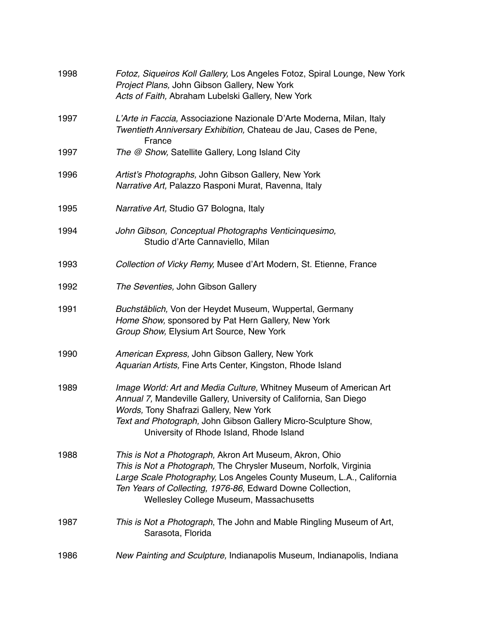| 1998 | Fotoz, Siqueiros Koll Gallery, Los Angeles Fotoz, Spiral Lounge, New York<br>Project Plans, John Gibson Gallery, New York<br>Acts of Faith, Abraham Lubelski Gallery, New York                                                                                                                               |
|------|--------------------------------------------------------------------------------------------------------------------------------------------------------------------------------------------------------------------------------------------------------------------------------------------------------------|
| 1997 | L'Arte in Faccia, Associazione Nazionale D'Arte Moderna, Milan, Italy<br>Twentieth Anniversary Exhibition, Chateau de Jau, Cases de Pene,<br>France                                                                                                                                                          |
| 1997 | The @ Show, Satellite Gallery, Long Island City                                                                                                                                                                                                                                                              |
| 1996 | Artist's Photographs, John Gibson Gallery, New York<br>Narrative Art, Palazzo Rasponi Murat, Ravenna, Italy                                                                                                                                                                                                  |
| 1995 | Narrative Art, Studio G7 Bologna, Italy                                                                                                                                                                                                                                                                      |
| 1994 | John Gibson, Conceptual Photographs Venticinquesimo,<br>Studio d'Arte Cannaviello, Milan                                                                                                                                                                                                                     |
| 1993 | Collection of Vicky Remy, Musee d'Art Modern, St. Etienne, France                                                                                                                                                                                                                                            |
| 1992 | The Seventies, John Gibson Gallery                                                                                                                                                                                                                                                                           |
| 1991 | Buchstäblich, Von der Heydet Museum, Wuppertal, Germany<br>Home Show, sponsored by Pat Hern Gallery, New York<br>Group Show, Elysium Art Source, New York                                                                                                                                                    |
| 1990 | American Express, John Gibson Gallery, New York<br>Aquarian Artists, Fine Arts Center, Kingston, Rhode Island                                                                                                                                                                                                |
| 1989 | Image World: Art and Media Culture, Whitney Museum of American Art<br>Annual 7, Mandeville Gallery, University of California, San Diego<br>Words, Tony Shafrazi Gallery, New York<br>Text and Photograph, John Gibson Gallery Micro-Sculpture Show,<br>University of Rhode Island, Rhode Island              |
| 1988 | This is Not a Photograph, Akron Art Museum, Akron, Ohio<br>This is Not a Photograph, The Chrysler Museum, Norfolk, Virginia<br>Large Scale Photography, Los Angeles County Museum, L.A., California<br>Ten Years of Collecting, 1976-86, Edward Downe Collection,<br>Wellesley College Museum, Massachusetts |
| 1987 | This is Not a Photograph, The John and Mable Ringling Museum of Art,<br>Sarasota, Florida                                                                                                                                                                                                                    |
| 1986 | New Painting and Sculpture, Indianapolis Museum, Indianapolis, Indiana                                                                                                                                                                                                                                       |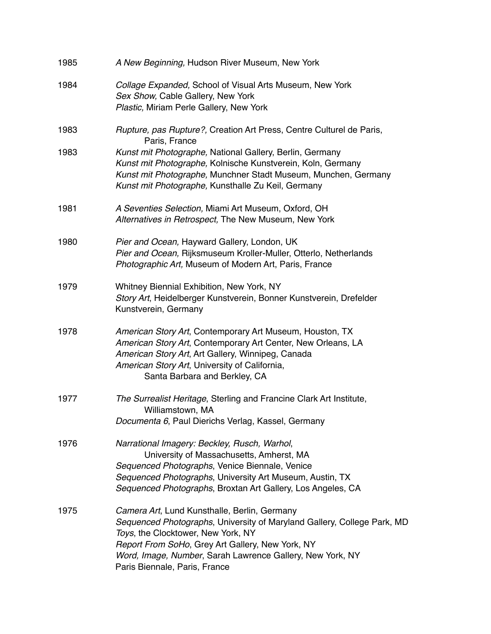| 1985 | A New Beginning, Hudson River Museum, New York                                                                                                                                                                                                                                                                  |
|------|-----------------------------------------------------------------------------------------------------------------------------------------------------------------------------------------------------------------------------------------------------------------------------------------------------------------|
| 1984 | Collage Expanded, School of Visual Arts Museum, New York<br>Sex Show, Cable Gallery, New York<br>Plastic, Miriam Perle Gallery, New York                                                                                                                                                                        |
| 1983 | Rupture, pas Rupture?, Creation Art Press, Centre Culturel de Paris,<br>Paris, France                                                                                                                                                                                                                           |
| 1983 | Kunst mit Photographe, National Gallery, Berlin, Germany<br>Kunst mit Photographe, Kolnische Kunstverein, Koln, Germany<br>Kunst mit Photographe, Munchner Stadt Museum, Munchen, Germany<br>Kunst mit Photographe, Kunsthalle Zu Keil, Germany                                                                 |
| 1981 | A Seventies Selection, Miami Art Museum, Oxford, OH<br>Alternatives in Retrospect, The New Museum, New York                                                                                                                                                                                                     |
| 1980 | Pier and Ocean, Hayward Gallery, London, UK<br>Pier and Ocean, Rijksmuseum Kroller-Muller, Otterlo, Netherlands<br>Photographic Art, Museum of Modern Art, Paris, France                                                                                                                                        |
| 1979 | Whitney Biennial Exhibition, New York, NY<br>Story Art, Heidelberger Kunstverein, Bonner Kunstverein, Drefelder<br>Kunstverein, Germany                                                                                                                                                                         |
| 1978 | American Story Art, Contemporary Art Museum, Houston, TX<br>American Story Art, Contemporary Art Center, New Orleans, LA<br>American Story Art, Art Gallery, Winnipeg, Canada<br>American Story Art, University of California,<br>Santa Barbara and Berkley, CA                                                 |
| 1977 | The Surrealist Heritage, Sterling and Francine Clark Art Institute,<br>Williamstown, MA<br>Documenta 6, Paul Dierichs Verlag, Kassel, Germany                                                                                                                                                                   |
| 1976 | Narrational Imagery: Beckley, Rusch, Warhol,<br>University of Massachusetts, Amherst, MA<br>Sequenced Photographs, Venice Biennale, Venice<br>Sequenced Photographs, University Art Museum, Austin, TX<br>Sequenced Photographs, Broxtan Art Gallery, Los Angeles, CA                                           |
| 1975 | Camera Art, Lund Kunsthalle, Berlin, Germany<br>Sequenced Photographs, University of Maryland Gallery, College Park, MD<br>Toys, the Clocktower, New York, NY<br>Report From SoHo, Grey Art Gallery, New York, NY<br>Word, Image, Number, Sarah Lawrence Gallery, New York, NY<br>Paris Biennale, Paris, France |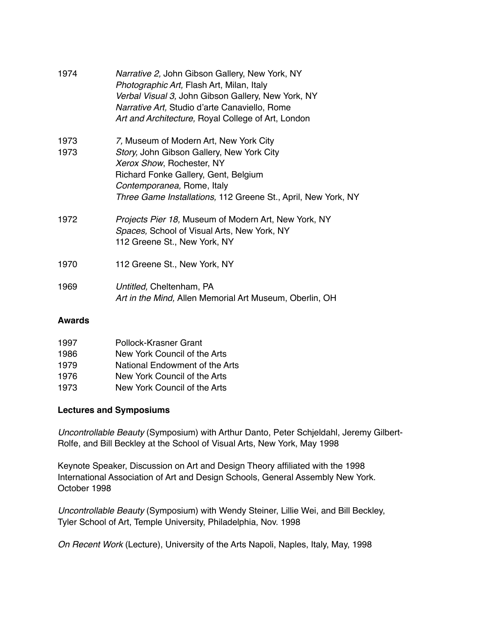| 1974         | Narrative 2, John Gibson Gallery, New York, NY<br>Photographic Art, Flash Art, Milan, Italy<br>Verbal Visual 3, John Gibson Gallery, New York, NY<br>Narrative Art, Studio d'arte Canaviello, Rome<br>Art and Architecture, Royal College of Art, London |
|--------------|----------------------------------------------------------------------------------------------------------------------------------------------------------------------------------------------------------------------------------------------------------|
| 1973<br>1973 | 7, Museum of Modern Art, New York City<br>Story, John Gibson Gallery, New York City<br>Xerox Show, Rochester, NY<br>Richard Fonke Gallery, Gent, Belgium<br>Contemporanea, Rome, Italy                                                                   |
| 1972         | Three Game Installations, 112 Greene St., April, New York, NY<br>Projects Pier 18, Museum of Modern Art, New York, NY<br>Spaces, School of Visual Arts, New York, NY<br>112 Greene St., New York, NY                                                     |
| 1970         | 112 Greene St., New York, NY                                                                                                                                                                                                                             |
| 1969         | Untitled, Cheltenham, PA<br>Art in the Mind, Allen Memorial Art Museum, Oberlin, OH                                                                                                                                                                      |

### **Awards**

| 1997 | Pollock-Krasner Grant          |
|------|--------------------------------|
| 1986 | New York Council of the Arts   |
| 1979 | National Endowment of the Arts |
| 1976 | New York Council of the Arts   |
| 1973 | New York Council of the Arts   |

# **Lectures and Symposiums**

*Uncontrollable Beauty* (Symposium) with Arthur Danto, Peter Schjeldahl, Jeremy Gilbert-Rolfe, and Bill Beckley at the School of Visual Arts, New York, May 1998

Keynote Speaker, Discussion on Art and Design Theory affiliated with the 1998 International Association of Art and Design Schools, General Assembly New York. October 1998

*Uncontrollable Beauty* (Symposium) with Wendy Steiner, Lillie Wei, and Bill Beckley, Tyler School of Art, Temple University, Philadelphia, Nov. 1998

*On Recent Work* (Lecture), University of the Arts Napoli, Naples, Italy, May, 1998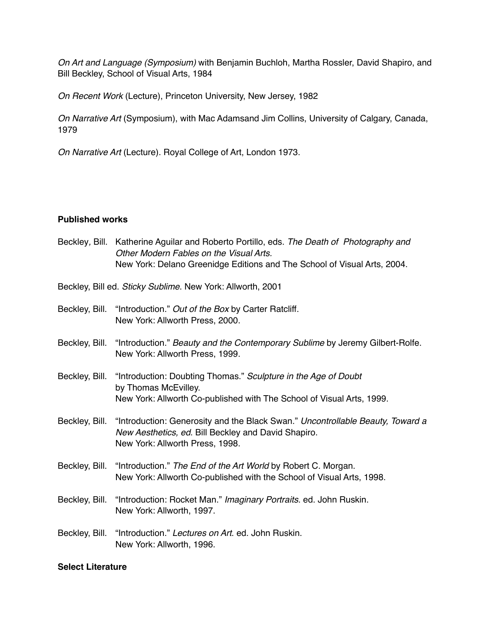*On Art and Language (Symposium)* with Benjamin Buchloh, Martha Rossler, David Shapiro, and Bill Beckley, School of Visual Arts, 1984

*On Recent Work* (Lecture), Princeton University, New Jersey, 1982

*On Narrative Art* (Symposium), with Mac Adamsand Jim Collins, University of Calgary, Canada, 1979

*On Narrative Art* (Lecture). Royal College of Art, London 1973.

### **Published works**

Beckley*,* Bill. Katherine Aguilar and Roberto Portillo, eds. *The Death of Photography and Other Modern Fables on the Visual Arts.*  New York: Delano Greenidge Editions and The School of Visual Arts, 2004.

Beckley, Bill ed. *Sticky Sublime*. New York: Allworth, 2001

- Beckley, Bill. "Introduction." *Out of the Box* by Carter Ratcliff. New York: Allworth Press, 2000.
- Beckley, Bill. "Introduction." *Beauty and the Contemporary Sublime* by Jeremy Gilbert-Rolfe. New York: Allworth Press, 1999.
- Beckley, Bill. "Introduction: Doubting Thomas." *Sculpture in the Age of Doubt*  by Thomas McEvilley. New York: Allworth Co-published with The School of Visual Arts, 1999.
- Beckley, Bill. "Introduction: Generosity and the Black Swan." *Uncontrollable Beauty, Toward a New Aesthetics, ed*. Bill Beckley and David Shapiro. New York: Allworth Press, 1998.
- Beckley, Bill. "Introduction." *The End of the Art World* by Robert C. Morgan. New York: Allworth Co-published with the School of Visual Arts, 1998.
- Beckley, Bill. "Introduction: Rocket Man." *Imaginary Portraits*. ed. John Ruskin. New York: Allworth, 1997.
- Beckley, Bill. "Introduction." *Lectures on Art*. ed. John Ruskin. New York: Allworth, 1996.

#### **Select Literature**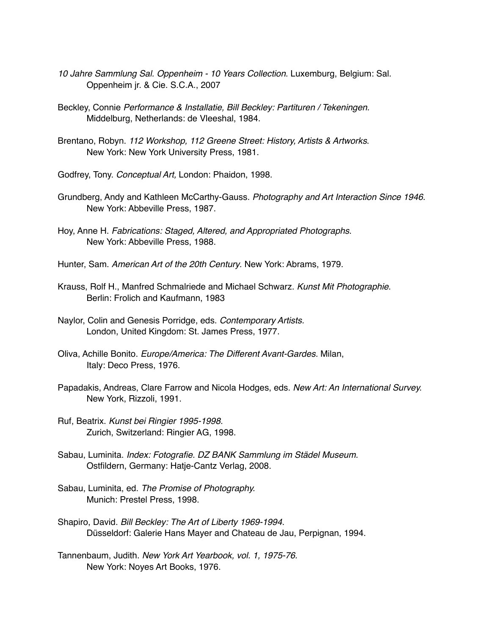- *10 Jahre Sammlung Sal. Oppenheim 10 Years Collection*. Luxemburg, Belgium: Sal. Oppenheim jr. & Cie. S.C.A., 2007
- Beckley, Connie *Performance & Installatie, Bill Beckley: Partituren / Tekeningen.* Middelburg, Netherlands: de Vleeshal, 1984.
- Brentano, Robyn. *112 Workshop, 112 Greene Street: History, Artists & Artworks*. New York: New York University Press, 1981.
- Godfrey, Tony. *Conceptual Art,* London: Phaidon, 1998.
- Grundberg, Andy and Kathleen McCarthy-Gauss. *Photography and Art Interaction Since 1946.* New York: Abbeville Press, 1987.
- Hoy, Anne H. *Fabrications: Staged, Altered, and Appropriated Photographs*. New York: Abbeville Press, 1988.
- Hunter, Sam. *American Art of the 20th Century*. New York: Abrams, 1979.
- Krauss, Rolf H., Manfred Schmalriede and Michael Schwarz. *Kunst Mit Photographie*. Berlin: Frolich and Kaufmann, 1983
- Naylor, Colin and Genesis Porridge, eds. *Contemporary Artists.*  London, United Kingdom: St. James Press, 1977.
- Oliva, Achille Bonito. *Europe/America: The Different Avant-Gardes.* Milan, Italy: Deco Press, 1976.
- Papadakis, Andreas, Clare Farrow and Nicola Hodges, eds. *New Art: An International Survey.* New York, Rizzoli, 1991.
- Ruf, Beatrix. *Kunst bei Ringier 1995-1998.*  Zurich, Switzerland: Ringier AG, 1998.
- Sabau, Luminita. *Index: Fotografie. DZ BANK Sammlung im Städel Museum.* Ostfildern, Germany: Hatje-Cantz Verlag, 2008.
- Sabau, Luminita, ed. *The Promise of Photography.*  Munich: Prestel Press, 1998.
- Shapiro, David. *Bill Beckley: The Art of Liberty 1969-1994.*  Düsseldorf: Galerie Hans Mayer and Chateau de Jau, Perpignan, 1994.
- Tannenbaum, Judith. *New York Art Yearbook, vol. 1, 1975-76.* New York: Noyes Art Books, 1976.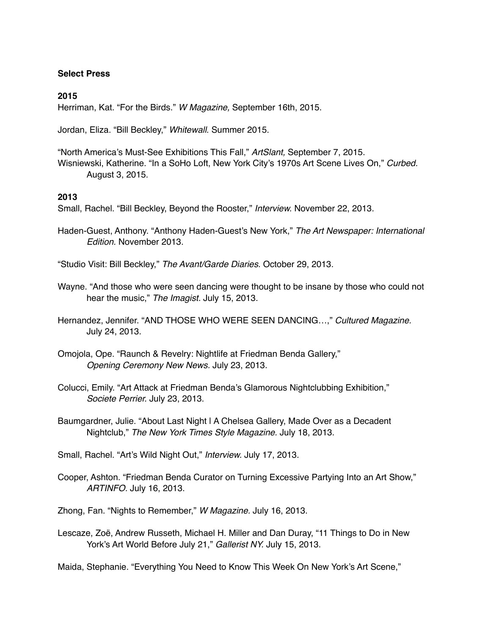### **Select Press**

#### **2015**

Herriman, Kat. "For the Birds." *W Magazine,* September 16th, 2015.

Jordan, Eliza. "Bill Beckley," *Whitewall*. Summer 2015.

"North America's Must-See Exhibitions This Fall," *ArtSlant,* September 7, 2015. Wisniewski, Katherine. "In a SoHo Loft, New York City's 1970s Art Scene Lives On," *Curbed.* August 3, 2015.

#### **2013**

Small, Rachel. "Bill Beckley, Beyond the Rooster," *Interview.* November 22, 2013.

Haden-Guest, Anthony. "Anthony Haden-Guest's New York," *The Art Newspaper: International Edition.* November 2013.

"Studio Visit: Bill Beckley," *The Avant/Garde Diaries.* October 29, 2013.

Wayne. "And those who were seen dancing were thought to be insane by those who could not hear the music," *The Imagist.* July 15, 2013.

Hernandez, Jennifer. "AND THOSE WHO WERE SEEN DANCING…," *Cultured Magazine.*  July 24, 2013.

- Omojola, Ope. "Raunch & Revelry: Nightlife at Friedman Benda Gallery," *Opening Ceremony New News.* July 23, 2013.
- Colucci, Emily. "Art Attack at Friedman Benda's Glamorous Nightclubbing Exhibition," *Societe Perrier.* July 23, 2013.
- Baumgardner, Julie. "About Last Night | A Chelsea Gallery, Made Over as a Decadent Nightclub," *The New York Times Style Magazine.* July 18, 2013.
- Small, Rachel. "Art's Wild Night Out," *Interview.* July 17, 2013.
- Cooper, Ashton. "Friedman Benda Curator on Turning Excessive Partying Into an Art Show," *ARTINFO.* July 16, 2013.
- Zhong, Fan. "Nights to Remember," *W Magazine.* July 16, 2013.
- Lescaze, Zoë, Andrew Russeth, Michael H. Miller and Dan Duray, "11 Things to Do in New York's Art World Before July 21," *Gallerist NY.* July 15, 2013.

Maida, Stephanie. "Everything You Need to Know This Week On New York's Art Scene,"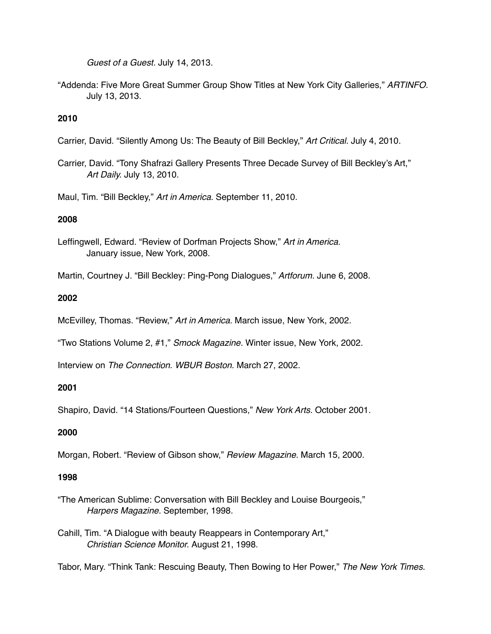*Guest of a Guest.* July 14, 2013.

"Addenda: Five More Great Summer Group Show Titles at New York City Galleries," *ARTINFO.* July 13, 2013.

# **2010**

- Carrier, David. "Silently Among Us: The Beauty of Bill Beckley," *Art Critical.* July 4, 2010.
- Carrier, David. "Tony Shafrazi Gallery Presents Three Decade Survey of Bill Beckley's Art," *Art Daily.* July 13, 2010.

Maul, Tim. "Bill Beckley," *Art in America*. September 11, 2010.

# **2008**

- Leffingwell, Edward. "Review of Dorfman Projects Show," *Art in America.* January issue, New York, 2008.
- Martin, Courtney J. "Bill Beckley: Ping-Pong Dialogues," *Artforum.* June 6, 2008.

# **2002**

McEvilley, Thomas. "Review," *Art in America.* March issue, New York, 2002.

"Two Stations Volume 2, #1," *Smock Magazine.* Winter issue, New York, 2002.

Interview on *The Connection*. *WBUR Boston.* March 27, 2002.

# **2001**

Shapiro, David. "14 Stations/Fourteen Questions," *New York Arts.* October 2001.

# **2000**

Morgan, Robert. "Review of Gibson show," *Review Magazine.* March 15, 2000.

# **1998**

"The American Sublime: Conversation with Bill Beckley and Louise Bourgeois," *Harpers Magazine.* September, 1998.

Cahill, Tim. "A Dialogue with beauty Reappears in Contemporary Art," *Christian Science Monitor.* August 21, 1998.

Tabor, Mary. "Think Tank: Rescuing Beauty, Then Bowing to Her Power," *The New York Times.*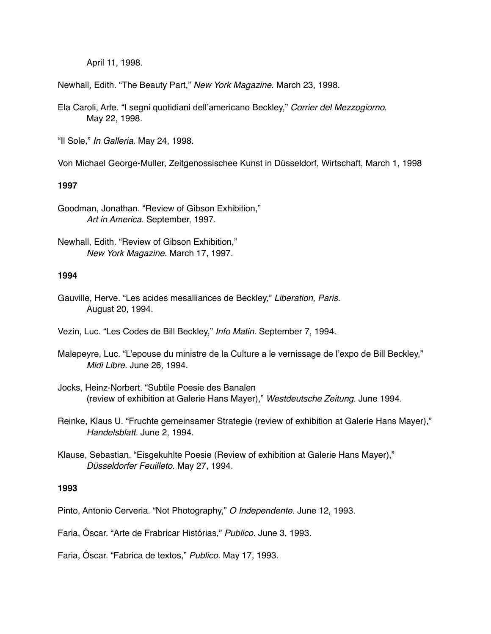April 11, 1998.

Newhall, Edith. "The Beauty Part," *New York Magazine*. March 23, 1998.

Ela Caroli, Arte. "I segni quotidiani dell'americano Beckley," *Corrier del Mezzogiorno*. May 22, 1998.

"Il Sole," *In Galleria.* May 24, 1998.

Von Michael George-Muller, Zeitgenossischee Kunst in Düsseldorf, Wirtschaft, March 1, 1998

# **1997**

Goodman, Jonathan. "Review of Gibson Exhibition," *Art in America.* September, 1997.

### **1994**

Gauville, Herve. "Les acides mesalliances de Beckley," *Liberation, Paris.* August 20, 1994.

Vezin, Luc. "Les Codes de Bill Beckley," *Info Matin.* September 7, 1994.

Malepeyre, Luc. "L'epouse du ministre de la Culture a le vernissage de l'expo de Bill Beckley," *Midi Libre.* June 26, 1994.

- Jocks, Heinz-Norbert. "Subtile Poesie des Banalen (review of exhibition at Galerie Hans Mayer)," *Westdeutsche Zeitung.* June 1994.
- Reinke, Klaus U. "Fruchte gemeinsamer Strategie (review of exhibition at Galerie Hans Mayer)," *Handelsblatt.* June 2, 1994.
- Klause, Sebastian. "Eisgekuhlte Poesie (Review of exhibition at Galerie Hans Mayer)," *Düsseldorfer Feuilleto*. May 27, 1994.

### **1993**

Pinto, Antonio Cerveria. "Not Photography," *O Independente.* June 12, 1993.

Faria, Óscar. "Arte de Frabricar Histórias," *Publico.* June 3, 1993.

Faria, Óscar. "Fabrica de textos," *Publico.* May 17, 1993.

Newhall, Edith. "Review of Gibson Exhibition," *New York Magazine.* March 17, 1997.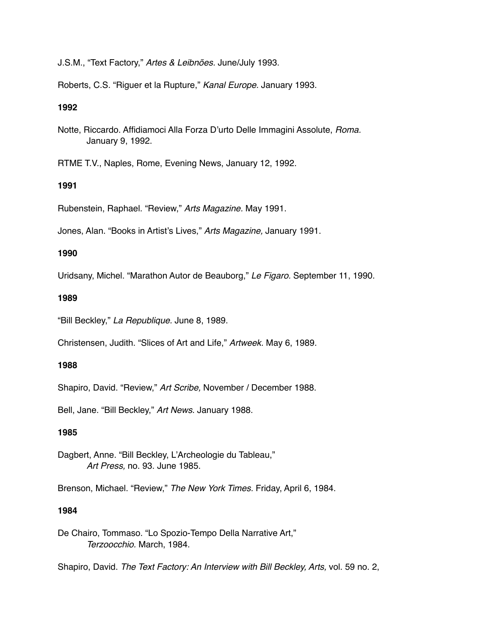J.S.M., "Text Factory," *Artes & Leibnões.* June/July 1993.

Roberts, C.S. "Riguer et la Rupture," *Kanal Europe.* January 1993.

# **1992**

Notte, Riccardo. Affidiamoci Alla Forza D'urto Delle Immagini Assolute, *Roma.* January 9, 1992.

RTME T.V., Naples, Rome, Evening News, January 12, 1992.

# **1991**

Rubenstein, Raphael. "Review," *Arts Magazine.* May 1991.

Jones, Alan. "Books in Artist's Lives," *Arts Magazine,* January 1991.

### **1990**

Uridsany, Michel. "Marathon Autor de Beauborg," *Le Figaro.* September 11, 1990.

### **1989**

"Bill Beckley," *La Republique.* June 8, 1989.

Christensen, Judith. "Slices of Art and Life," *Artweek.* May 6, 1989.

# **1988**

Shapiro, David. "Review," *Art Scribe,* November / December 1988.

Bell, Jane. "Bill Beckley," *Art News*. January 1988.

### **1985**

Dagbert, Anne. "Bill Beckley, L'Archeologie du Tableau," *Art Press,* no. 93. June 1985.

Brenson, Michael. "Review," *The New York Times.* Friday, April 6, 1984.

# **1984**

De Chairo, Tommaso. "Lo Spozio-Tempo Della Narrative Art," *Terzoocchio.* March, 1984.

Shapiro, David. *The Text Factory: An Interview with Bill Beckley, Arts,* vol. 59 no. 2,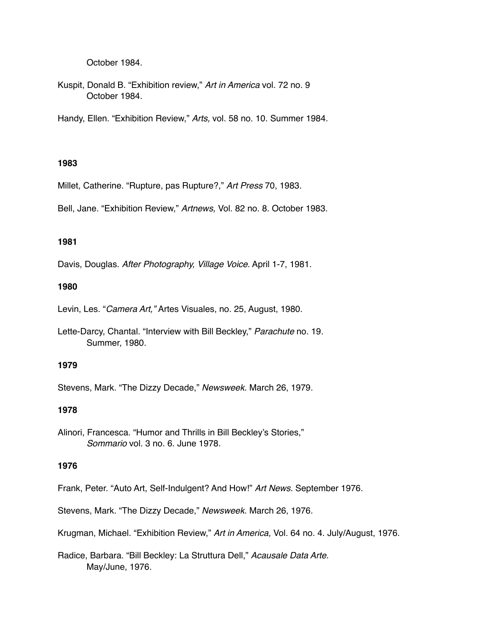October 1984.

Kuspit, Donald B. "Exhibition review," *Art in America* vol. 72 no. 9 October 1984.

Handy, Ellen. "Exhibition Review," *Arts,* vol. 58 no. 10. Summer 1984.

### **1983**

Millet, Catherine. "Rupture, pas Rupture?," *Art Press* 70, 1983.

Bell, Jane. "Exhibition Review," *Artnews,* Vol. 82 no. 8. October 1983.

# **1981**

Davis, Douglas. *After Photography, Village Voice.* April 1-7, 1981.

### **1980**

Levin, Les. "*Camera Art,"* Artes Visuales, no. 25, August, 1980.

Lette-Darcy, Chantal. "Interview with Bill Beckley," *Parachute* no. 19. Summer, 1980.

#### **1979**

Stevens, Mark. "The Dizzy Decade," *Newsweek.* March 26, 1979.

#### **1978**

Alinori, Francesca. "Humor and Thrills in Bill Beckley's Stories," *Sommario* vol. 3 no. 6. June 1978.

#### **1976**

Frank, Peter. "Auto Art, Self-Indulgent? And How!" *Art News.* September 1976.

Stevens, Mark. "The Dizzy Decade," *Newsweek.* March 26, 1976.

Krugman, Michael. "Exhibition Review," *Art in America,* Vol. 64 no. 4. July/August, 1976.

Radice, Barbara. "Bill Beckley: La Struttura Dell," *Acausale Data Arte.*  May/June, 1976.